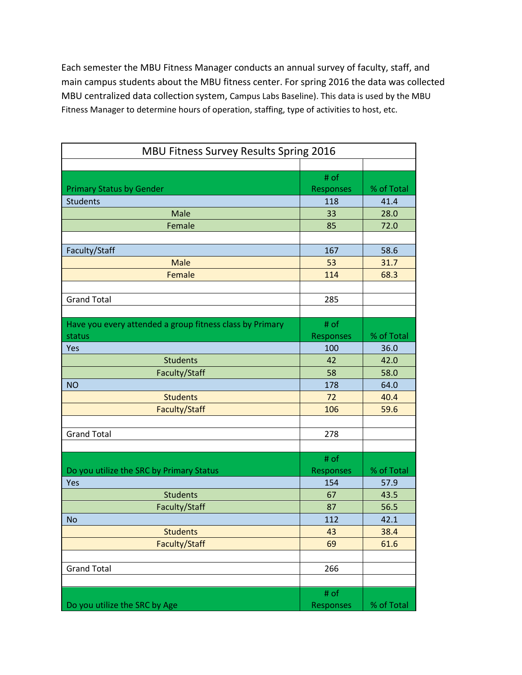Each semester the MBU Fitness Manager conducts an annual survey of faculty, staff, and main campus students about the MBU fitness center. For spring 2016 the data was collected MBU centralized data collection system, Campus Labs Baseline). This data is used by the MBU Fitness Manager to determine hours of operation, staffing, type of activities to host, etc.

| <b>MBU Fitness Survey Results Spring 2016</b>            |                  |            |
|----------------------------------------------------------|------------------|------------|
|                                                          |                  |            |
|                                                          | # of             |            |
| <b>Primary Status by Gender</b>                          | <b>Responses</b> | % of Total |
| <b>Students</b>                                          | 118              | 41.4       |
| Male                                                     | 33               | 28.0       |
| Female                                                   | 85               | 72.0       |
|                                                          |                  |            |
| Faculty/Staff                                            | 167              | 58.6       |
| <b>Male</b>                                              | 53               | 31.7       |
| Female                                                   | 114              | 68.3       |
|                                                          |                  |            |
| <b>Grand Total</b>                                       | 285              |            |
|                                                          |                  |            |
| Have you every attended a group fitness class by Primary | # of             |            |
| status                                                   | Responses        | % of Total |
| Yes                                                      | 100              | 36.0       |
| <b>Students</b>                                          | 42               | 42.0       |
| Faculty/Staff                                            | 58               | 58.0       |
| <b>NO</b>                                                | 178              | 64.0       |
| <b>Students</b>                                          | 72               | 40.4       |
| Faculty/Staff                                            | 106              | 59.6       |
|                                                          |                  |            |
| <b>Grand Total</b>                                       | 278              |            |
|                                                          |                  |            |
|                                                          | # of             |            |
| Do you utilize the SRC by Primary Status                 | Responses        | % of Total |
| Yes                                                      | 154              | 57.9       |
| <b>Students</b>                                          | 67               | 43.5       |
| Faculty/Staff                                            | 87               | 56.5       |
| <b>No</b>                                                | 112              | 42.1       |
| <b>Students</b>                                          | 43               | 38.4       |
| Faculty/Staff                                            | 69               | 61.6       |
|                                                          |                  |            |
| <b>Grand Total</b>                                       | 266              |            |
|                                                          |                  |            |
|                                                          | # of             |            |
| Do you utilize the SRC by Age                            | <b>Responses</b> | % of Total |